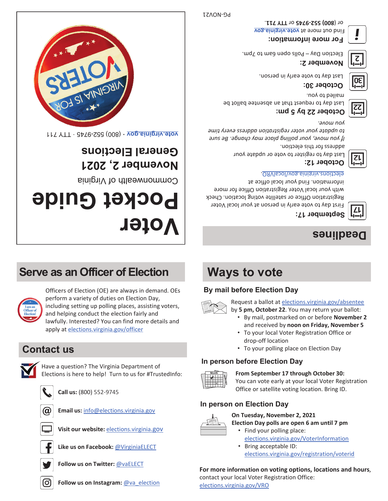**vog. Binighly. 910V** find out more and the same and a sub-. **TTY 711** or **800) 552-9745** or (





てし

Last day to request that an absentee ballot be **October 22 by 5 pm:**

Last day to register to vote or update your

information. Find your local office at elections.virginia.gov/localVRO.



mailed to you.

address for this election.



*you move.*

**October 12:**











. Last day to vote early in person







*If you move, your polling place may change. Be sure to update your voter registration address every time* 

First day to vote early in person at your local Voter Registration Office or satellite voting location. Check with your local Voter Registration Office for more















































<u>rete.virginia.gov</u> · (800) 552-9745 · JTT 711

A SI AIMISSIN

# **November 2, 2021 General Elections**

Commonwealth of Virginia

# **Voter Pocket Guide**

# **Serve as an Officer of Election**



Officers of Election (OE) are always in demand. OEs perform a variety of duties on Election Day, including setting up polling places, assisting voters, and helping conduct the election fairly and lawfully. Interested? You can find more details and apply at elections.virginia.gov/officer

# **Contact us**



Have a question? The Virginia Department of Elections is here to help! Turn to us for #TrustedInfo:



**Call us:** (800) 552-9745



**Email us:** info@elections.virginia.gov



**Visit our website:** elections.virginia.gov



**Like us on Facebook:** @VirginiaELECT



**Follow us on Twitter:** @vaELECT





# **Ways to vote**

## **By mail before Election Day**



Request a ballot at elections.virginia.gov/absentee

- by **5 pm, October 22**. You may return your ballot:
	- By mail, postmarked on or before **November 2**  and received by **noon on Friday, November 5**
	- To your local Voter Registration Office or drop-off location
	- To your polling place on Election Day

#### **In person before Election Day**



#### **From September 17 through October 30:**

You can vote early at your local Voter Registration Office or satellite voting location. Bring ID.

## **In person on Election Day**



#### **On Tuesday, November 2, 2021**

**Election Day polls are open 6 am until 7 pm** 

• Find your polling place: elections.virginia.gov/VoterInformation • Bring acceptable ID: elections.virginia.gov/registration/voterid

#### **For more information on voting options, locations and hours**, contact your local Voter Registration Office:

elections.virginia.gov/VRO



# **Deadlines**